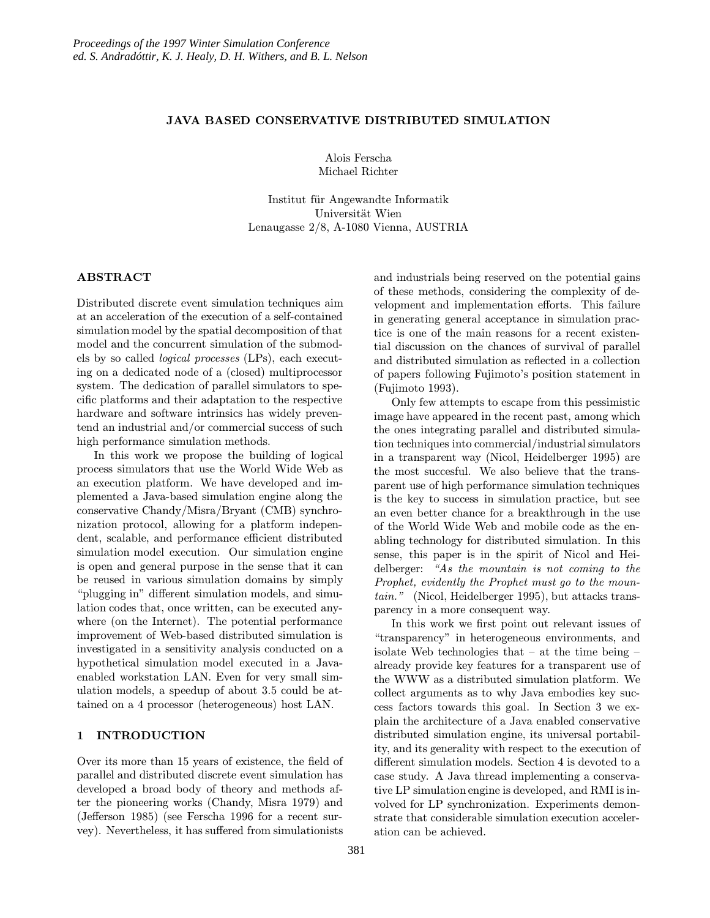#### JAVA BASED CONSERVATIVE DISTRIBUTED SIMULATION

Alois Ferscha Michael Richter

Institut fu¨r Angewandte Informatik Universität Wien Lenaugasse 2/8, A-1080 Vienna, AUSTRIA

#### ABSTRACT

Distributed discrete event simulation techniques aim at an acceleration of the execution of a self-contained simulation model by the spatial decomposition of that model and the concurrent simulation of the submodels by so called logical processes (LPs), each executing on a dedicated node of a (closed) multiprocessor system. The dedication of parallel simulators to specific platforms and their adaptation to the respective hardware and software intrinsics has widely preventend an industrial and/or commercial success of such high performance simulation methods.

In this work we propose the building of logical process simulators that use the World Wide Web as an execution platform. We have developed and implemented a Java-based simulation engine along the conservative Chandy/Misra/Bryant (CMB) synchronization protocol, allowing for a platform independent, scalable, and performance efficient distributed simulation model execution. Our simulation engine is open and general purpose in the sense that it can be reused in various simulation domains by simply "plugging in" different simulation models, and simulation codes that, once written, can be executed anywhere (on the Internet). The potential performance improvement of Web-based distributed simulation is investigated in a sensitivity analysis conducted on a hypothetical simulation model executed in a Javaenabled workstation LAN. Even for very small simulation models, a speedup of about 3.5 could be attained on a 4 processor (heterogeneous) host LAN.

### 1 INTRODUCTION

Over its more than 15 years of existence, the field of parallel and distributed discrete event simulation has developed a broad body of theory and methods after the pioneering works (Chandy, Misra 1979) and (Jefferson 1985) (see Ferscha 1996 for a recent survey). Nevertheless, it has suffered from simulationists and industrials being reserved on the potential gains of these methods, considering the complexity of development and implementation efforts. This failure in generating general acceptance in simulation practice is one of the main reasons for a recent existential discussion on the chances of survival of parallel and distributed simulation as reflected in a collection of papers following Fujimoto's position statement in (Fujimoto 1993).

Only few attempts to escape from this pessimistic image have appeared in the recent past, among which the ones integrating parallel and distributed simulation techniques into commercial/industrial simulators in a transparent way (Nicol, Heidelberger 1995) are the most succesful. We also believe that the transparent use of high performance simulation techniques is the key to success in simulation practice, but see an even better chance for a breakthrough in the use of the World Wide Web and mobile code as the enabling technology for distributed simulation. In this sense, this paper is in the spirit of Nicol and Heidelberger: "As the mountain is not coming to the Prophet, evidently the Prophet must go to the mountain." (Nicol, Heidelberger 1995), but attacks transparency in a more consequent way.

In this work we first point out relevant issues of "transparency" in heterogeneous environments, and isolate Web technologies that – at the time being – already provide key features for a transparent use of the WWW as a distributed simulation platform. We collect arguments as to why Java embodies key success factors towards this goal. In Section 3 we explain the architecture of a Java enabled conservative distributed simulation engine, its universal portability, and its generality with respect to the execution of different simulation models. Section 4 is devoted to a case study. A Java thread implementing a conservative LP simulation engine is developed, and RMI is involved for LP synchronization. Experiments demonstrate that considerable simulation execution acceleration can be achieved.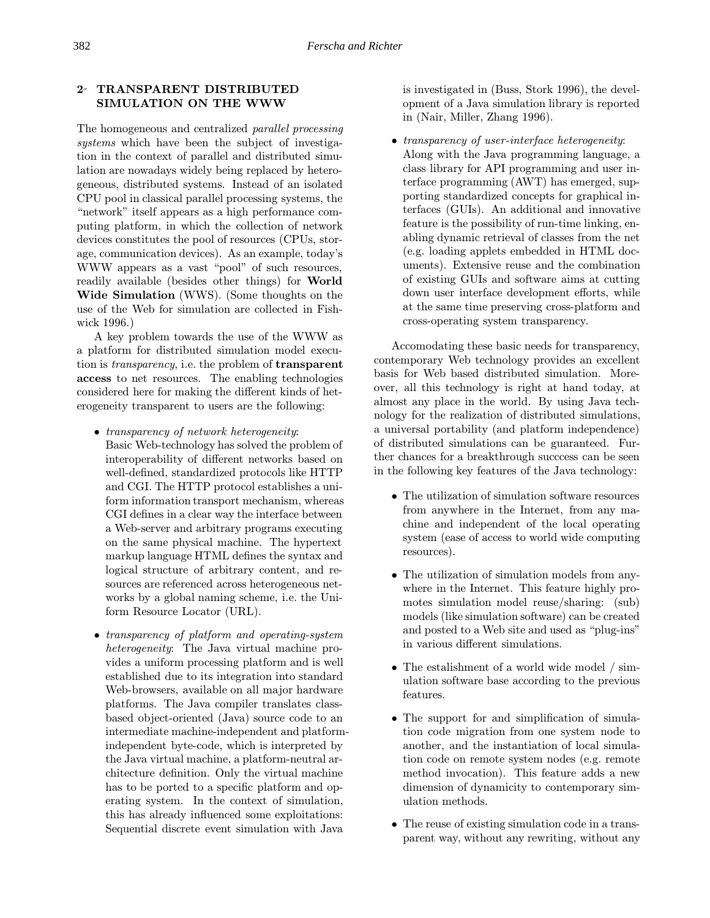# 2- TRANSPARENT DISTRIBUTED SIMULATION ON THE WWW

The homogeneous and centralized parallel processing systems which have been the subject of investigation in the context of parallel and distributed simulation are nowadays widely being replaced by heterogeneous, distributed systems. Instead of an isolated CPU pool in classical parallel processing systems, the "network" itself appears as a high performance computing platform, in which the collection of network devices constitutes the pool of resources (CPUs, storage, communication devices). As an example, today's WWW appears as a vast "pool" of such resources, readily available (besides other things) for World Wide Simulation (WWS). (Some thoughts on the use of the Web for simulation are collected in Fishwick 1996.)

A key problem towards the use of the WWW as a platform for distributed simulation model execution is transparency, i.e. the problem of transparent access to net resources. The enabling technologies considered here for making the different kinds of heterogeneity transparent to users are the following:

- transparency of network heterogeneity: Basic Web-technology has solved the problem of interoperability of different networks based on well-defined, standardized protocols like HTTP and CGI. The HTTP protocol establishes a uniform information transport mechanism, whereas CGI defines in a clear way the interface between a Web-server and arbitrary programs executing on the same physical machine. The hypertext markup language HTML defines the syntax and logical structure of arbitrary content, and resources are referenced across heterogeneous networks by a global naming scheme, i.e. the Uniform Resource Locator (URL).
- transparency of platform and operating-system heterogeneity: The Java virtual machine provides a uniform processing platform and is well established due to its integration into standard Web-browsers, available on all major hardware platforms. The Java compiler translates classbased object-oriented (Java) source code to an intermediate machine-independent and platformindependent byte-code, which is interpreted by the Java virtual machine, a platform-neutral architecture definition. Only the virtual machine has to be ported to a specific platform and operating system. In the context of simulation, this has already influenced some exploitations: Sequential discrete event simulation with Java

is investigated in (Buss, Stork 1996), the development of a Java simulation library is reported in (Nair, Miller, Zhang 1996).

• transparency of user-interface heterogeneity: Along with the Java programming language, a class library for API programming and user interface programming (AWT) has emerged, supporting standardized concepts for graphical interfaces (GUIs). An additional and innovative feature is the possibility of run-time linking, enabling dynamic retrieval of classes from the net (e.g. loading applets embedded in HTML documents). Extensive reuse and the combination of existing GUIs and software aims at cutting down user interface development efforts, while at the same time preserving cross-platform and cross-operating system transparency.

Accomodating these basic needs for transparency, contemporary Web technology provides an excellent basis for Web based distributed simulation. Moreover, all this technology is right at hand today, at almost any place in the world. By using Java technology for the realization of distributed simulations, a universal portability (and platform independence) of distributed simulations can be guaranteed. Further chances for a breakthrough succcess can be seen in the following key features of the Java technology:

- The utilization of simulation software resources from anywhere in the Internet, from any machine and independent of the local operating system (ease of access to world wide computing resources).
- The utilization of simulation models from anywhere in the Internet. This feature highly promotes simulation model reuse/sharing: (sub) models (like simulation software) can be created and posted to a Web site and used as "plug-ins" in various different simulations.
- The estalishment of a world wide model / simulation software base according to the previous features.
- The support for and simplification of simulation code migration from one system node to another, and the instantiation of local simulation code on remote system nodes (e.g. remote method invocation). This feature adds a new dimension of dynamicity to contemporary simulation methods.
- The reuse of existing simulation code in a transparent way, without any rewriting, without any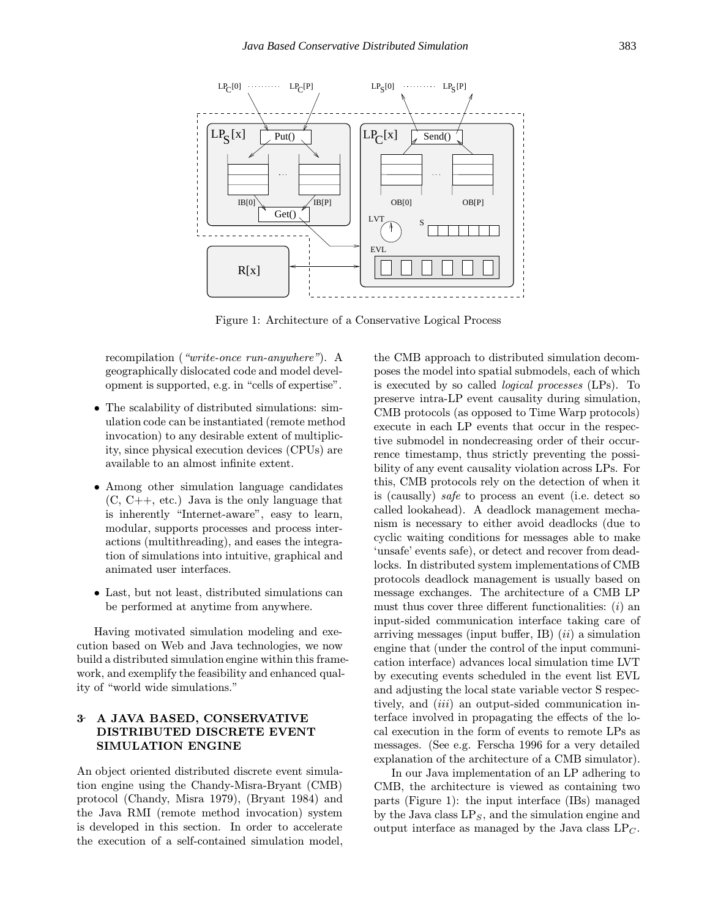

Figure 1: Architecture of a Conservative Logical Process

recompilation ("write-once run-anywhere"). A geographically dislocated code and model development is supported, e.g. in "cells of expertise".

- The scalability of distributed simulations: simulation code can be instantiated (remote method invocation) to any desirable extent of multiplicity, since physical execution devices (CPUs) are available to an almost infinite extent.
- Among other simulation language candidates (C, C++, etc.) Java is the only language that is inherently "Internet-aware", easy to learn, modular, supports processes and process interactions (multithreading), and eases the integration of simulations into intuitive, graphical and animated user interfaces.
- Last, but not least, distributed simulations can be performed at anytime from anywhere.

Having motivated simulation modeling and execution based on Web and Java technologies, we now build a distributed simulation engine within this framework, and exemplify the feasibility and enhanced quality of "world wide simulations."

# 3 A JAVA BASED, CONSERVATIVE DISTRIBUTED DISCRETE EVENT SIMULATION ENGINE

An object oriented distributed discrete event simulation engine using the Chandy-Misra-Bryant (CMB) protocol (Chandy, Misra 1979), (Bryant 1984) and the Java RMI (remote method invocation) system is developed in this section. In order to accelerate the execution of a self-contained simulation model, the CMB approach to distributed simulation decomposes the model into spatial submodels, each of which is executed by so called logical processes (LPs). To preserve intra-LP event causality during simulation, CMB protocols (as opposed to Time Warp protocols) execute in each LP events that occur in the respective submodel in nondecreasing order of their occurrence timestamp, thus strictly preventing the possibility of any event causality violation across LPs. For this, CMB protocols rely on the detection of when it is (causally) safe to process an event (i.e. detect so called lookahead). A deadlock management mechanism is necessary to either avoid deadlocks (due to cyclic waiting conditions for messages able to make 'unsafe' events safe), or detect and recover from deadlocks. In distributed system implementations of CMB protocols deadlock management is usually based on message exchanges. The architecture of a CMB LP must thus cover three different functionalities:  $(i)$  and input-sided communication interface taking care of arriving messages (input buffer, IB)  $(ii)$  a simulation engine that (under the control of the input communication interface) advances local simulation time LVT by executing events scheduled in the event list EVL and adjusting the local state variable vector S respectively, and *(iii)* an output-sided communication interface involved in propagating the effects of the local execution in the form of events to remote LPs as messages. (See e.g. Ferscha 1996 for a very detailed explanation of the architecture of a CMB simulator).

In our Java implementation of an LP adhering to CMB, the architecture is viewed as containing two parts (Figure 1): the input interface (IBs) managed by the Java class  $LP<sub>S</sub>$ , and the simulation engine and output interface as managed by the Java class  $LP<sub>C</sub>$ .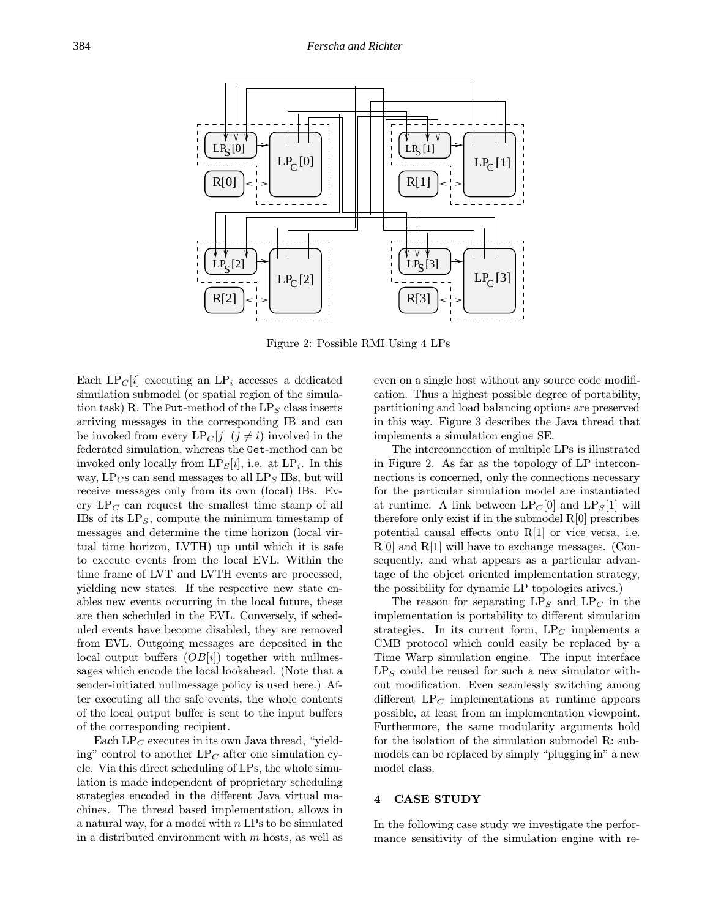

Figure 2: Possible RMI Using 4 LPs

Each  $LP_C[i]$  executing an  $LP_i$  accesses a dedicated simulation submodel (or spatial region of the simulation task) R. The Put-method of the  $LP<sub>S</sub>$  class inserts arriving messages in the corresponding IB and can be invoked from every  $LP_C[j]$   $(j \neq i)$  involved in the federated simulation, whereas the Get-method can be invoked only locally from  $LP<sub>S</sub>[i]$ , i.e. at  $LP<sub>i</sub>$ . In this way,  $LP_C$ s can send messages to all  $LP_S$  IBs, but will receive messages only from its own (local) IBs. Every  $LP_C$  can request the smallest time stamp of all IBs of its  $LP<sub>S</sub>$ , compute the minimum timestamp of messages and determine the time horizon (local virtual time horizon, LVTH) up until which it is safe to execute events from the local EVL. Within the time frame of LVT and LVTH events are processed, yielding new states. If the respective new state enables new events occurring in the local future, these are then scheduled in the EVL. Conversely, if scheduled events have become disabled, they are removed from EVL. Outgoing messages are deposited in the local output buffers  $(OB[i])$  together with nullmessages which encode the local lookahead. (Note that a sender-initiated nullmessage policy is used here.) After executing all the safe events, the whole contents of the local output buffer is sent to the input buffers of the corresponding recipient.

Each  $LP_C$  executes in its own Java thread, "yielding" control to another  $LP_C$  after one simulation cycle. Via this direct scheduling of LPs, the whole simulation is made independent of proprietary scheduling strategies encoded in the different Java virtual machines. The thread based implementation, allows in a natural way, for a model with n LPs to be simulated in a distributed environment with  $m$  hosts, as well as even on a single host without any source code modification. Thus a highest possible degree of portability, partitioning and load balancing options are preserved in this way. Figure 3 describes the Java thread that implements a simulation engine SE.

The interconnection of multiple LPs is illustrated in Figure 2. As far as the topology of LP interconnections is concerned, only the connections necessary for the particular simulation model are instantiated at runtime. A link between  $LP_C[0]$  and  $LP_S[1]$  will therefore only exist if in the submodel R[0] prescribes potential causal effects onto R[1] or vice versa, i.e.  $R[0]$  and  $R[1]$  will have to exchange messages. (Consequently, and what appears as a particular advantage of the object oriented implementation strategy, the possibility for dynamic LP topologies arives.)

The reason for separating  $LP<sub>S</sub>$  and  $LP<sub>C</sub>$  in the implementation is portability to different simulation strategies. In its current form,  $LP_C$  implements a CMB protocol which could easily be replaced by a Time Warp simulation engine. The input interface  $LP<sub>S</sub>$  could be reused for such a new simulator without modification. Even seamlessly switching among different  $LP_C$  implementations at runtime appears possible, at least from an implementation viewpoint. Furthermore, the same modularity arguments hold for the isolation of the simulation submodel R: submodels can be replaced by simply "plugging in" a new model class.

#### 4 CASE STUDY

In the following case study we investigate the performance sensitivity of the simulation engine with re-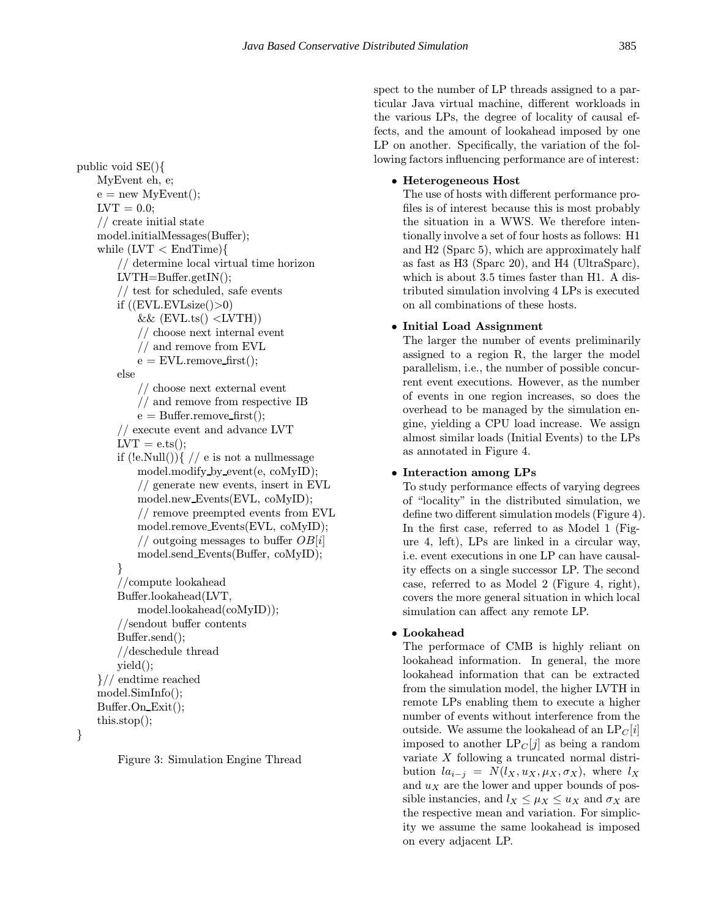```
public void SE(){
MyEvent eh, e;
e = new MyEvent();LVT = 0.0;// create initial state
model.initialMessages(Buffer);
while (LVT < EndTime)// determine local virtual time horizon
   LVTH=Buffer.getIN();
   // test for scheduled, safe events
   if ((EVL.EVLsize())>0)&& (EVL.ts() <LVTH))
       // choose next internal event
       // and remove from EVL
       e = EVL.remove_first();
   else
       // choose next external event
       // and remove from respective IB
       e = Buffer.remove_first();
    // execute event and advance LVT
   LVT = e.ts(;
   if (!e.Null())\{ // e is not a nullmessage\}model.modify by event(e, coMyID);
       // generate new events, insert in EVL
       model.new Events(EVL, coMyID);
       // remove preempted events from EVL
       model.remove Events(EVL, coMyID);
       // outgoing messages to buffer OB[i]model.send_Events(Buffer, coMyID);
    }
    //compute lookahead
   Buffer.lookahead(LVT,
       model.lookahead(coMyID));
    //sendout buffer contents
   Buffer.send();
   //deschedule thread
   yield();
}// endtime reached
model.SimInfo();
Buffer.On Exit();
this.stop();
```
}

Figure 3: Simulation Engine Thread

spect to the number of LP threads assigned to a particular Java virtual machine, different workloads in the various LPs, the degree of locality of causal effects, and the amount of lookahead imposed by one LP on another. Specifically, the variation of the following factors influencing performance are of interest:

# • Heterogeneous Host

The use of hosts with different performance profiles is of interest because this is most probably the situation in a WWS. We therefore intentionally involve a set of four hosts as follows: H1 and H2 (Sparc 5), which are approximately half as fast as H3 (Sparc 20), and H4 (UltraSparc), which is about 3.5 times faster than H1. A distributed simulation involving 4 LPs is executed on all combinations of these hosts.

# • Initial Load Assignment

The larger the number of events preliminarily assigned to a region R, the larger the model parallelism, i.e., the number of possible concurrent event executions. However, as the number of events in one region increases, so does the overhead to be managed by the simulation engine, yielding a CPU load increase. We assign almost similar loads (Initial Events) to the LPs as annotated in Figure 4.

# • Interaction among LPs

To study performance effects of varying degrees of "locality" in the distributed simulation, we define two different simulation models (Figure 4). In the first case, referred to as Model 1 (Figure 4, left), LPs are linked in a circular way, i.e. event executions in one LP can have causality effects on a single successor LP. The second case, referred to as Model 2 (Figure 4, right), covers the more general situation in which local simulation can affect any remote LP.

# • Lookahead

The performace of CMB is highly reliant on lookahead information. In general, the more lookahead information that can be extracted from the simulation model, the higher LVTH in remote LPs enabling them to execute a higher number of events without interference from the outside. We assume the lookahead of an  $LP_C[i]$ imposed to another  $LP_C[j]$  as being a random variate X following a truncated normal distribution  $la_{i-j} = N(l_X, u_X, \mu_X, \sigma_X)$ , where  $l_X$ and  $u<sub>X</sub>$  are the lower and upper bounds of possible instancies, and  $l_X \leq \mu_X \leq u_X$  and  $\sigma_X$  are the respective mean and variation. For simplicity we assume the same lookahead is imposed on every adjacent LP.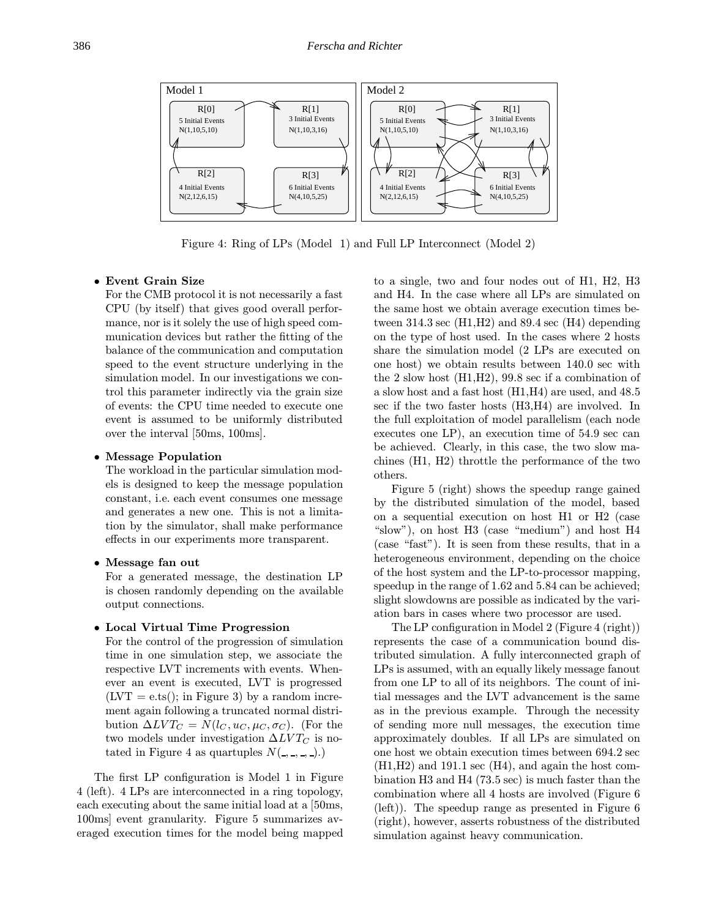

Figure 4: Ring of LPs (Model 1) and Full LP Interconnect (Model 2)

#### • Event Grain Size

For the CMB protocol it is not necessarily a fast CPU (by itself) that gives good overall performance, nor is it solely the use of high speed communication devices but rather the fitting of the balance of the communication and computation speed to the event structure underlying in the simulation model. In our investigations we control this parameter indirectly via the grain size of events: the CPU time needed to execute one event is assumed to be uniformly distributed over the interval [50ms, 100ms].

#### • Message Population

The workload in the particular simulation models is designed to keep the message population constant, i.e. each event consumes one message and generates a new one. This is not a limitation by the simulator, shall make performance effects in our experiments more transparent.

#### • Message fan out

For a generated message, the destination LP is chosen randomly depending on the available output connections.

#### • Local Virtual Time Progression

For the control of the progression of simulation time in one simulation step, we associate the respective LVT increments with events. Whenever an event is executed, LVT is progressed  $(LVT = e.ts()$ ; in Figure 3) by a random increment again following a truncated normal distribution  $\Delta LVT_C = N(l_C, u_C, \mu_C, \sigma_C)$ . (For the two models under investigation  $\Delta LVT_C$  is notated in Figure 4 as quartuples  $N(\_,\_,\_,\_)$ .)

The first LP configuration is Model 1 in Figure 4 (left). 4 LPs are interconnected in a ring topology, each executing about the same initial load at a [50ms, 100ms] event granularity. Figure 5 summarizes averaged execution times for the model being mapped to a single, two and four nodes out of H1, H2, H3 and H4. In the case where all LPs are simulated on the same host we obtain average execution times between  $314.3$  sec (H1, H2) and  $89.4$  sec (H4) depending on the type of host used. In the cases where 2 hosts share the simulation model (2 LPs are executed on one host) we obtain results between 140.0 sec with the 2 slow host (H1,H2), 99.8 sec if a combination of a slow host and a fast host (H1,H4) are used, and 48.5 sec if the two faster hosts (H3,H4) are involved. In the full exploitation of model parallelism (each node executes one LP), an execution time of 54.9 sec can be achieved. Clearly, in this case, the two slow machines (H1, H2) throttle the performance of the two others.

Figure 5 (right) shows the speedup range gained by the distributed simulation of the model, based on a sequential execution on host H1 or H2 (case "slow"), on host H3 (case "medium") and host H4 (case "fast"). It is seen from these results, that in a heterogeneous environment, depending on the choice of the host system and the LP-to-processor mapping, speedup in the range of 1.62 and 5.84 can be achieved; slight slowdowns are possible as indicated by the variation bars in cases where two processor are used.

The LP configuration in Model 2 (Figure 4 (right)) represents the case of a communication bound distributed simulation. A fully interconnected graph of LPs is assumed, with an equally likely message fanout from one LP to all of its neighbors. The count of initial messages and the LVT advancement is the same as in the previous example. Through the necessity of sending more null messages, the execution time approximately doubles. If all LPs are simulated on one host we obtain execution times between 694.2 sec  $(H1,H2)$  and 191.1 sec  $(H4)$ , and again the host combination H3 and H4 (73.5 sec) is much faster than the combination where all 4 hosts are involved (Figure 6 (left)). The speedup range as presented in Figure 6 (right), however, asserts robustness of the distributed simulation against heavy communication.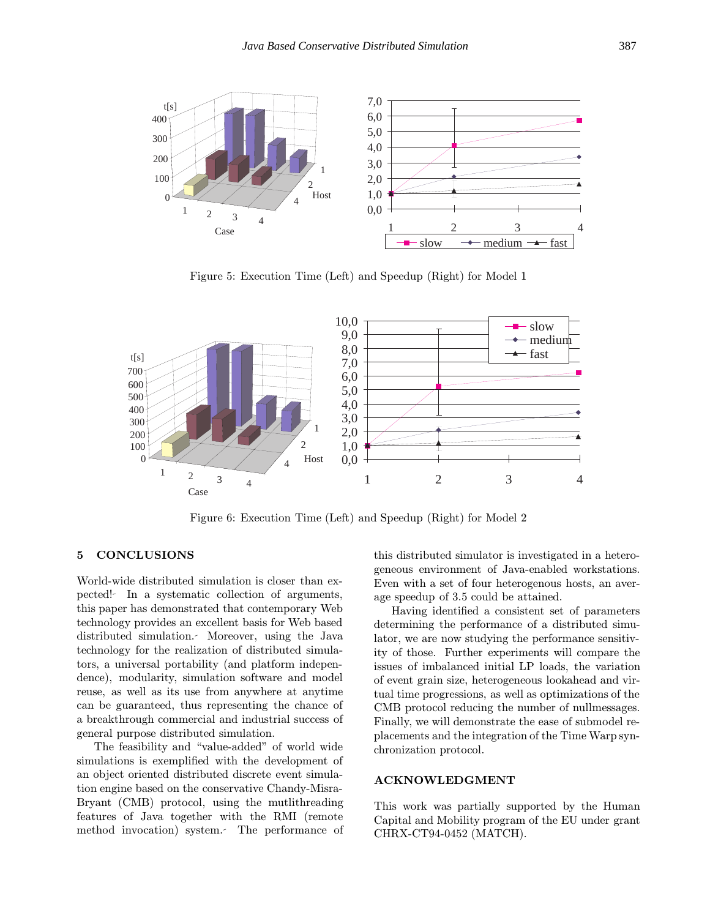

Figure 5: Execution Time (Left) and Speedup (Right) for Model 1



Figure 6: Execution Time (Left) and Speedup (Right) for Model 2

## 5 CONCLUSIONS

World-wide distributed simulation is closer than expected! In a systematic collection of arguments, this paper has demonstrated that contemporary Web technology provides an excellent basis for Web based distributed simulation. Moreover, using the Java technology for the realization of distributed simulators, a universal portability (and platform independence), modularity, simulation software and model reuse, as well as its use from anywhere at anytime can be guaranteed, thus representing the chance of a breakthrough commercial and industrial success of general purpose distributed simulation.

The feasibility and "value-added" of world wide simulations is exemplified with the development of an object oriented distributed discrete event simulation engine based on the conservative Chandy-Misra-Bryant (CMB) protocol, using the mutlithreading features of Java together with the RMI (remote method invocation) system. The performance of this distributed simulator is investigated in a heterogeneous environment of Java-enabled workstations. Even with a set of four heterogenous hosts, an average speedup of 3.5 could be attained.

Having identified a consistent set of parameters determining the performance of a distributed simulator, we are now studying the performance sensitivity of those. Further experiments will compare the issues of imbalanced initial LP loads, the variation of event grain size, heterogeneous lookahead and virtual time progressions, as well as optimizations of the CMB protocol reducing the number of nullmessages. Finally, we will demonstrate the ease of submodel replacements and the integration of the Time Warp synchronization protocol.

#### ACKNOWLEDGMENT

This work was partially supported by the Human Capital and Mobility program of the EU under grant CHRX-CT94-0452 (MATCH).